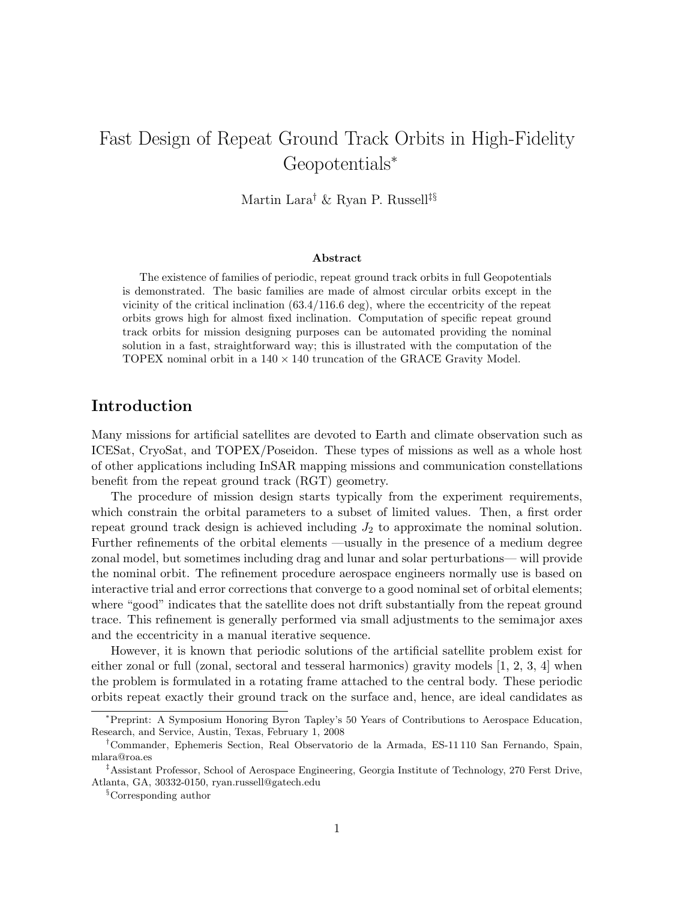# Fast Design of Repeat Ground Track Orbits in High-Fidelity Geopotentials<sup>∗</sup>

Martin Lara† & Ryan P. Russell‡§

#### Abstract

The existence of families of periodic, repeat ground track orbits in full Geopotentials is demonstrated. The basic families are made of almost circular orbits except in the vicinity of the critical inclination (63.4/116.6 deg), where the eccentricity of the repeat orbits grows high for almost fixed inclination. Computation of specific repeat ground track orbits for mission designing purposes can be automated providing the nominal solution in a fast, straightforward way; this is illustrated with the computation of the TOPEX nominal orbit in a  $140 \times 140$  truncation of the GRACE Gravity Model.

### Introduction

Many missions for artificial satellites are devoted to Earth and climate observation such as ICESat, CryoSat, and TOPEX/Poseidon. These types of missions as well as a whole host of other applications including InSAR mapping missions and communication constellations benefit from the repeat ground track (RGT) geometry.

The procedure of mission design starts typically from the experiment requirements, which constrain the orbital parameters to a subset of limited values. Then, a first order repeat ground track design is achieved including  $J_2$  to approximate the nominal solution. Further refinements of the orbital elements —usually in the presence of a medium degree zonal model, but sometimes including drag and lunar and solar perturbations— will provide the nominal orbit. The refinement procedure aerospace engineers normally use is based on interactive trial and error corrections that converge to a good nominal set of orbital elements; where "good" indicates that the satellite does not drift substantially from the repeat ground trace. This refinement is generally performed via small adjustments to the semimajor axes and the eccentricity in a manual iterative sequence.

However, it is known that periodic solutions of the artificial satellite problem exist for either zonal or full (zonal, sectoral and tesseral harmonics) gravity models  $[1, 2, 3, 4]$  $[1, 2, 3, 4]$  $[1, 2, 3, 4]$  $[1, 2, 3, 4]$  $[1, 2, 3, 4]$  $[1, 2, 3, 4]$  $[1, 2, 3, 4]$  when the problem is formulated in a rotating frame attached to the central body. These periodic orbits repeat exactly their ground track on the surface and, hence, are ideal candidates as

<sup>∗</sup>Preprint: A Symposium Honoring Byron Tapley's 50 Years of Contributions to Aerospace Education, Research, and Service, Austin, Texas, February 1, 2008

<sup>†</sup>Commander, Ephemeris Section, Real Observatorio de la Armada, ES-11 110 San Fernando, Spain, mlara@roa.es

<sup>‡</sup>Assistant Professor, School of Aerospace Engineering, Georgia Institute of Technology, 270 Ferst Drive, Atlanta, GA, 30332-0150, ryan.russell@gatech.edu

<sup>§</sup>Corresponding author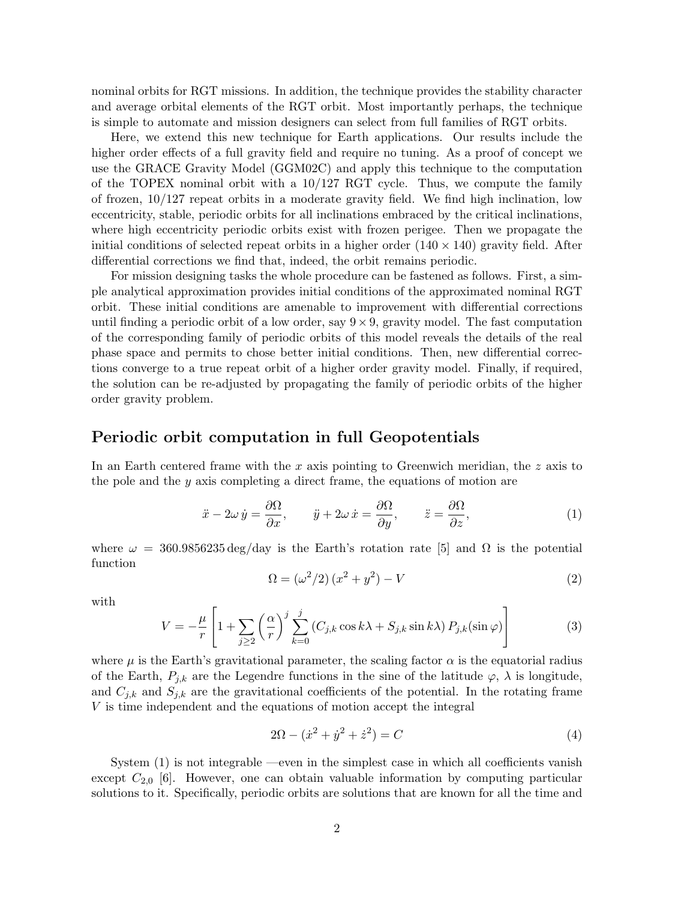nominal orbits for RGT missions. In addition, the technique provides the stability character and average orbital elements of the RGT orbit. Most importantly perhaps, the technique is simple to automate and mission designers can select from full families of RGT orbits.

Here, we extend this new technique for Earth applications. Our results include the higher order effects of a full gravity field and require no tuning. As a proof of concept we use the GRACE Gravity Model (GGM02C) and apply this technique to the computation of the TOPEX nominal orbit with a  $10/127$  RGT cycle. Thus, we compute the family of frozen, 10/127 repeat orbits in a moderate gravity field. We find high inclination, low eccentricity, stable, periodic orbits for all inclinations embraced by the critical inclinations, where high eccentricity periodic orbits exist with frozen perigee. Then we propagate the initial conditions of selected repeat orbits in a higher order  $(140 \times 140)$  gravity field. After differential corrections we find that, indeed, the orbit remains periodic.

For mission designing tasks the whole procedure can be fastened as follows. First, a simple analytical approximation provides initial conditions of the approximated nominal RGT orbit. These initial conditions are amenable to improvement with differential corrections until finding a periodic orbit of a low order, say  $9 \times 9$ , gravity model. The fast computation of the corresponding family of periodic orbits of this model reveals the details of the real phase space and permits to chose better initial conditions. Then, new differential corrections converge to a true repeat orbit of a higher order gravity model. Finally, if required, the solution can be re-adjusted by propagating the family of periodic orbits of the higher order gravity problem.

### Periodic orbit computation in full Geopotentials

In an Earth centered frame with the  $x$  axis pointing to Greenwich meridian, the  $z$  axis to the pole and the y axis completing a direct frame, the equations of motion are

<span id="page-1-0"></span>
$$
\ddot{x} - 2\omega \dot{y} = \frac{\partial \Omega}{\partial x}, \qquad \ddot{y} + 2\omega \dot{x} = \frac{\partial \Omega}{\partial y}, \qquad \ddot{z} = \frac{\partial \Omega}{\partial z}, \tag{1}
$$

where  $\omega = 360.9856235 \text{ deg/day}$  is the Earth's rotation rate [\[5\]](#page-10-4) and  $\Omega$  is the potential function

$$
\Omega = \left(\omega^2/2\right)\left(x^2 + y^2\right) - V\tag{2}
$$

with

<span id="page-1-2"></span>
$$
V = -\frac{\mu}{r} \left[ 1 + \sum_{j \ge 2} \left( \frac{\alpha}{r} \right)^j \sum_{k=0}^j \left( C_{j,k} \cos k\lambda + S_{j,k} \sin k\lambda \right) P_{j,k}(\sin \varphi) \right]
$$
(3)

where  $\mu$  is the Earth's gravitational parameter, the scaling factor  $\alpha$  is the equatorial radius of the Earth,  $P_{j,k}$  are the Legendre functions in the sine of the latitude  $\varphi$ ,  $\lambda$  is longitude, and  $C_{j,k}$  and  $S_{j,k}$  are the gravitational coefficients of the potential. In the rotating frame V is time independent and the equations of motion accept the integral

<span id="page-1-1"></span>
$$
2\Omega - (\dot{x}^2 + \dot{y}^2 + \dot{z}^2) = C \tag{4}
$$

System [\(1\)](#page-1-0) is not integrable —even in the simplest case in which all coefficients vanish except  $C_{2,0}$  [\[6\]](#page-10-5). However, one can obtain valuable information by computing particular solutions to it. Specifically, periodic orbits are solutions that are known for all the time and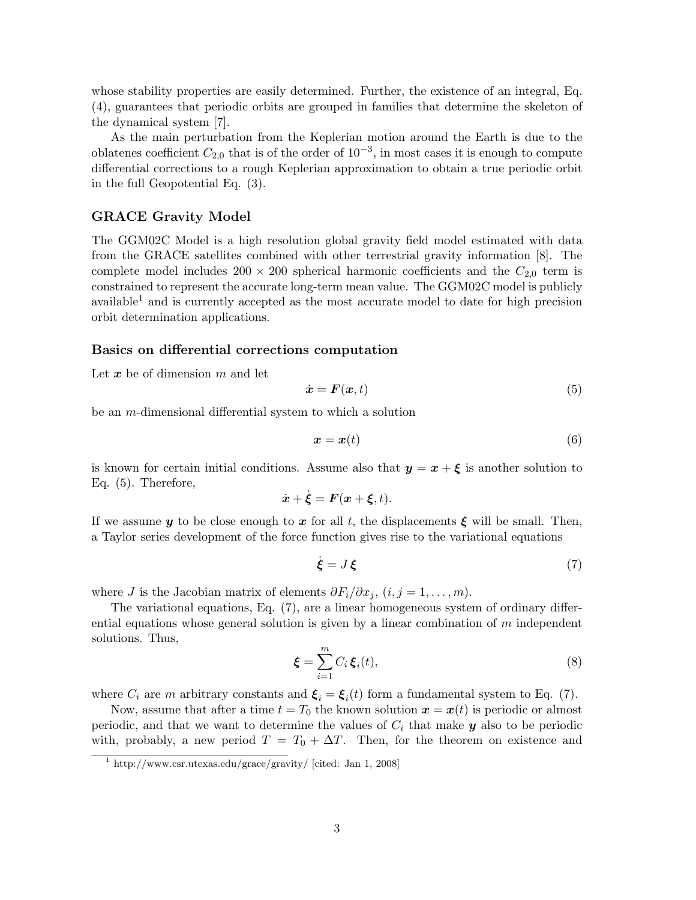whose stability properties are easily determined. Further, the existence of an integral, Eq. [\(4\)](#page-1-1), guarantees that periodic orbits are grouped in families that determine the skeleton of the dynamical system [\[7\]](#page-11-0).

As the main perturbation from the Keplerian motion around the Earth is due to the oblatenes coefficient  $C_{2,0}$  that is of the order of  $10^{-3}$ , in most cases it is enough to compute differential corrections to a rough Keplerian approximation to obtain a true periodic orbit in the full Geopotential Eq. [\(3\)](#page-1-2).

### GRACE Gravity Model

The GGM02C Model is a high resolution global gravity field model estimated with data from the GRACE satellites combined with other terrestrial gravity information [\[8\]](#page-11-1). The complete model includes  $200 \times 200$  spherical harmonic coefficients and the  $C_{2,0}$  term is constrained to represent the accurate long-term mean value. The GGM02C model is publicly available<sup>[1](#page-2-0)</sup> and is currently accepted as the most accurate model to date for high precision orbit determination applications.

#### Basics on differential corrections computation

Let  $x$  be of dimension  $m$  and let

<span id="page-2-1"></span>
$$
\dot{\boldsymbol{x}} = \boldsymbol{F}(\boldsymbol{x}, t) \tag{5}
$$

be an m-dimensional differential system to which a solution

$$
x = x(t) \tag{6}
$$

is known for certain initial conditions. Assume also that  $y = x + \xi$  is another solution to Eq. [\(5\)](#page-2-1). Therefore,

$$
\dot{\boldsymbol{x}} + \dot{\boldsymbol{\xi}} = \boldsymbol{F}(\boldsymbol{x} + \boldsymbol{\xi}, t).
$$

If we assume y to be close enough to x for all t, the displacements  $\xi$  will be small. Then, a Taylor series development of the force function gives rise to the variational equations

<span id="page-2-2"></span>
$$
\dot{\xi} = J\xi \tag{7}
$$

where J is the Jacobian matrix of elements  $\partial F_i/\partial x_j$ ,  $(i, j = 1, ..., m)$ .

The variational equations, Eq. [\(7\)](#page-2-2), are a linear homogeneous system of ordinary differential equations whose general solution is given by a linear combination of  $m$  independent solutions. Thus,

$$
\boldsymbol{\xi} = \sum_{i=1}^{m} C_i \, \boldsymbol{\xi}_i(t),\tag{8}
$$

where  $C_i$  are m arbitrary constants and  $\boldsymbol{\xi}_i = \boldsymbol{\xi}_i(t)$  form a fundamental system to Eq. [\(7\)](#page-2-2).

Now, assume that after a time  $t = T_0$  the known solution  $\mathbf{x} = \mathbf{x}(t)$  is periodic or almost periodic, and that we want to determine the values of  $C_i$  that make  $y$  also to be periodic with, probably, a new period  $T = T_0 + \Delta T$ . Then, for the theorem on existence and

<span id="page-2-0"></span><sup>1</sup> http://www.csr.utexas.edu/grace/gravity/ [cited: Jan 1, 2008]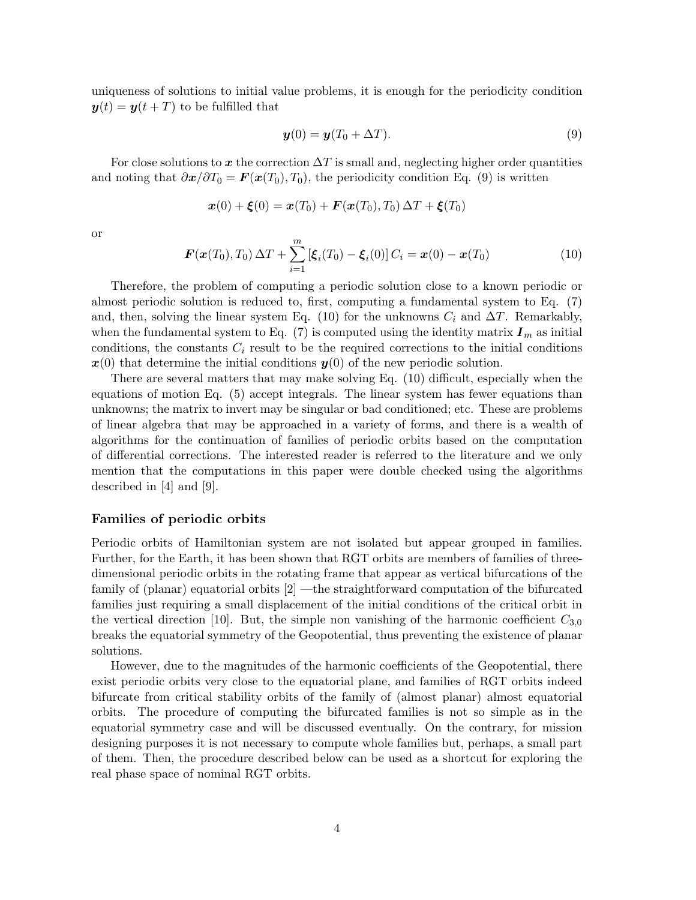uniqueness of solutions to initial value problems, it is enough for the periodicity condition  $y(t) = y(t + T)$  to be fulfilled that

<span id="page-3-0"></span>
$$
\mathbf{y}(0) = \mathbf{y}(T_0 + \Delta T). \tag{9}
$$

For close solutions to x the correction  $\Delta T$  is small and, neglecting higher order quantities and noting that  $\partial x/\partial T_0 = \mathbf{F}(x(T_0), T_0)$ , the periodicity condition Eq. [\(9\)](#page-3-0) is written

$$
\bm{x}(0) + \bm{\xi}(0) = \bm{x}(T_0) + \bm{F}(\bm{x}(T_0), T_0) \,\Delta T + \bm{\xi}(T_0)
$$

or

<span id="page-3-1"></span>
$$
\boldsymbol{F}(\boldsymbol{x}(T_0), T_0) \Delta T + \sum_{i=1}^{m} \left[ \boldsymbol{\xi}_i(T_0) - \boldsymbol{\xi}_i(0) \right] C_i = \boldsymbol{x}(0) - \boldsymbol{x}(T_0)
$$
\n(10)

Therefore, the problem of computing a periodic solution close to a known periodic or almost periodic solution is reduced to, first, computing a fundamental system to Eq. [\(7\)](#page-2-2) and, then, solving the linear system Eq. [\(10\)](#page-3-1) for the unknowns  $C_i$  and  $\Delta T$ . Remarkably, when the fundamental system to Eq. [\(7\)](#page-2-2) is computed using the identity matrix  $I_m$  as initial conditions, the constants  $C_i$  result to be the required corrections to the initial conditions  $x(0)$  that determine the initial conditions  $y(0)$  of the new periodic solution.

There are several matters that may make solving Eq. [\(10\)](#page-3-1) difficult, especially when the equations of motion Eq. [\(5\)](#page-2-1) accept integrals. The linear system has fewer equations than unknowns; the matrix to invert may be singular or bad conditioned; etc. These are problems of linear algebra that may be approached in a variety of forms, and there is a wealth of algorithms for the continuation of families of periodic orbits based on the computation of differential corrections. The interested reader is referred to the literature and we only mention that the computations in this paper were double checked using the algorithms described in [\[4\]](#page-10-3) and [\[9\]](#page-11-2).

#### Families of periodic orbits

Periodic orbits of Hamiltonian system are not isolated but appear grouped in families. Further, for the Earth, it has been shown that RGT orbits are members of families of threedimensional periodic orbits in the rotating frame that appear as vertical bifurcations of the family of (planar) equatorial orbits [\[2\]](#page-10-1) —the straightforward computation of the bifurcated families just requiring a small displacement of the initial conditions of the critical orbit in the vertical direction [\[10\]](#page-11-3). But, the simple non vanishing of the harmonic coefficient  $C_{3,0}$ breaks the equatorial symmetry of the Geopotential, thus preventing the existence of planar solutions.

However, due to the magnitudes of the harmonic coefficients of the Geopotential, there exist periodic orbits very close to the equatorial plane, and families of RGT orbits indeed bifurcate from critical stability orbits of the family of (almost planar) almost equatorial orbits. The procedure of computing the bifurcated families is not so simple as in the equatorial symmetry case and will be discussed eventually. On the contrary, for mission designing purposes it is not necessary to compute whole families but, perhaps, a small part of them. Then, the procedure described below can be used as a shortcut for exploring the real phase space of nominal RGT orbits.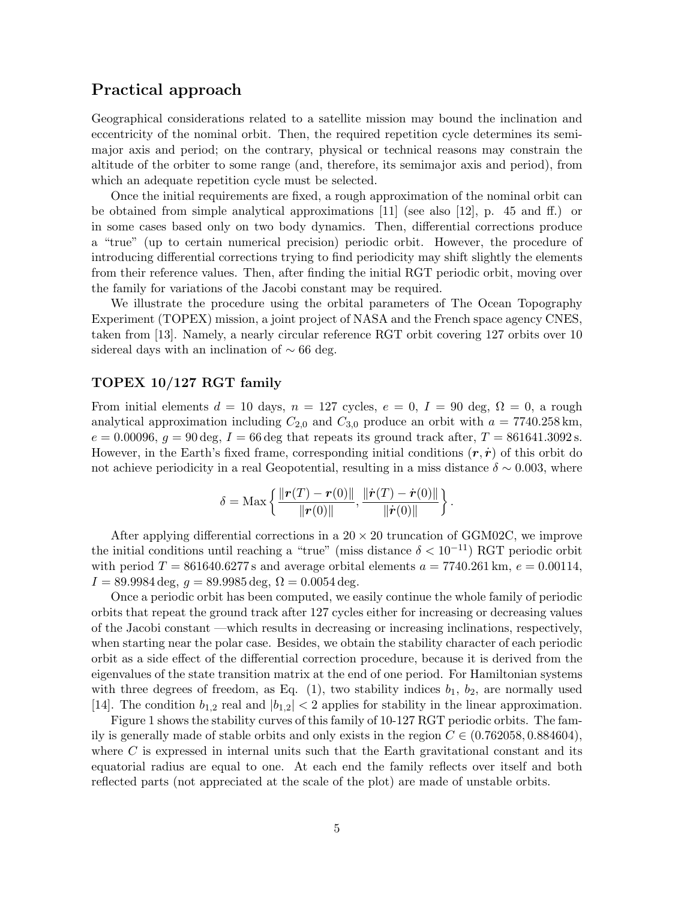### Practical approach

Geographical considerations related to a satellite mission may bound the inclination and eccentricity of the nominal orbit. Then, the required repetition cycle determines its semimajor axis and period; on the contrary, physical or technical reasons may constrain the altitude of the orbiter to some range (and, therefore, its semimajor axis and period), from which an adequate repetition cycle must be selected.

Once the initial requirements are fixed, a rough approximation of the nominal orbit can be obtained from simple analytical approximations [\[11\]](#page-11-4) (see also [\[12\]](#page-11-5), p. 45 and ff.) or in some cases based only on two body dynamics. Then, differential corrections produce a "true" (up to certain numerical precision) periodic orbit. However, the procedure of introducing differential corrections trying to find periodicity may shift slightly the elements from their reference values. Then, after finding the initial RGT periodic orbit, moving over the family for variations of the Jacobi constant may be required.

We illustrate the procedure using the orbital parameters of The Ocean Topography Experiment (TOPEX) mission, a joint project of NASA and the French space agency CNES, taken from [\[13\]](#page-11-6). Namely, a nearly circular reference RGT orbit covering 127 orbits over 10 sidereal days with an inclination of  $\sim$  66 deg.

### TOPEX 10/127 RGT family

From initial elements  $d = 10$  days,  $n = 127$  cycles,  $e = 0$ ,  $I = 90$  deg,  $\Omega = 0$ , a rough analytical approximation including  $C_{2,0}$  and  $C_{3,0}$  produce an orbit with  $a = 7740.258 \text{ km}$ ,  $e = 0.00096, g = 90 \text{ deg}, I = 66 \text{ deg that repeats its ground track after, } T = 861641.3092 \text{ s.}$ However, in the Earth's fixed frame, corresponding initial conditions  $(r, \dot{r})$  of this orbit do not achieve periodicity in a real Geopotential, resulting in a miss distance  $\delta \sim 0.003$ , where

$$
\delta = \text{Max}\left\{\frac{\|\bm{r}(T)-\bm{r}(0)\|}{\|\bm{r}(0)\|}, \frac{\|\dot{\bm{r}}(T)-\dot{\bm{r}}(0)\|}{\|\dot{\bm{r}}(0)\|}\right\}.
$$

After applying differential corrections in a  $20 \times 20$  truncation of GGM02C, we improve the initial conditions until reaching a "true" (miss distance  $\delta < 10^{-11}$ ) RGT periodic orbit with period  $T = 861640.6277$  s and average orbital elements  $a = 7740.261$  km,  $e = 0.00114$ ,  $I = 89.9984 \text{ deg}, g = 89.9985 \text{ deg}, \Omega = 0.0054 \text{ deg}.$ 

Once a periodic orbit has been computed, we easily continue the whole family of periodic orbits that repeat the ground track after 127 cycles either for increasing or decreasing values of the Jacobi constant —which results in decreasing or increasing inclinations, respectively, when starting near the polar case. Besides, we obtain the stability character of each periodic orbit as a side effect of the differential correction procedure, because it is derived from the eigenvalues of the state transition matrix at the end of one period. For Hamiltonian systems with three degrees of freedom, as Eq.  $(1)$ , two stability indices  $b_1$ ,  $b_2$ , are normally used [\[14\]](#page-11-7). The condition  $b_{1,2}$  real and  $|b_{1,2}| < 2$  applies for stability in the linear approximation.

Figure [1](#page-5-0) shows the stability curves of this family of 10-127 RGT periodic orbits. The family is generally made of stable orbits and only exists in the region  $C \in (0.762058, 0.884604)$ , where  $C$  is expressed in internal units such that the Earth gravitational constant and its equatorial radius are equal to one. At each end the family reflects over itself and both reflected parts (not appreciated at the scale of the plot) are made of unstable orbits.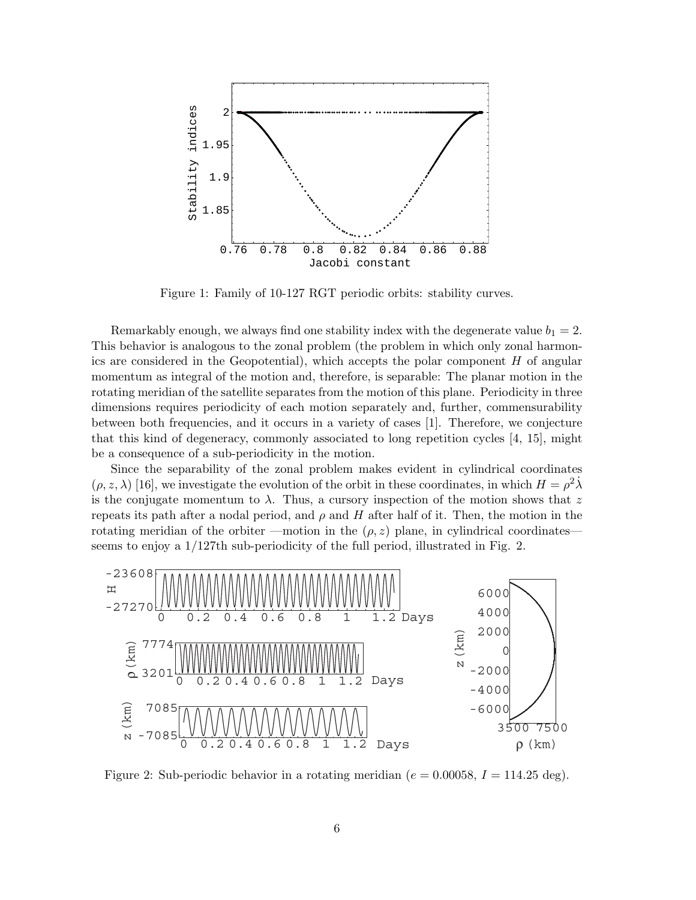

<span id="page-5-0"></span>Figure 1: Family of 10-127 RGT periodic orbits: stability curves.

Remarkably enough, we always find one stability index with the degenerate value  $b_1 = 2$ . This behavior is analogous to the zonal problem (the problem in which only zonal harmonics are considered in the Geopotential), which accepts the polar component  $H$  of angular momentum as integral of the motion and, therefore, is separable: The planar motion in the rotating meridian of the satellite separates from the motion of this plane. Periodicity in three dimensions requires periodicity of each motion separately and, further, commensurability between both frequencies, and it occurs in a variety of cases [\[1\]](#page-10-0). Therefore, we conjecture that this kind of degeneracy, commonly associated to long repetition cycles [\[4,](#page-10-3) [15\]](#page-11-8), might be a consequence of a sub-periodicity in the motion.

Since the separability of the zonal problem makes evident in cylindrical coordinates  $(\rho, z, \lambda)$  [\[16\]](#page-12-0), we investigate the evolution of the orbit in these coordinates, in which  $H = \rho^2 \lambda$ is the conjugate momentum to  $\lambda$ . Thus, a cursory inspection of the motion shows that z repeats its path after a nodal period, and  $\rho$  and H after half of it. Then, the motion in the rotating meridian of the orbiter —motion in the  $(\rho, z)$  plane, in cylindrical coordinates seems to enjoy a 1/127th sub-periodicity of the full period, illustrated in Fig. [2.](#page-5-1)



<span id="page-5-1"></span>Figure 2: Sub-periodic behavior in a rotating meridian ( $e = 0.00058$ ,  $I = 114.25$  deg).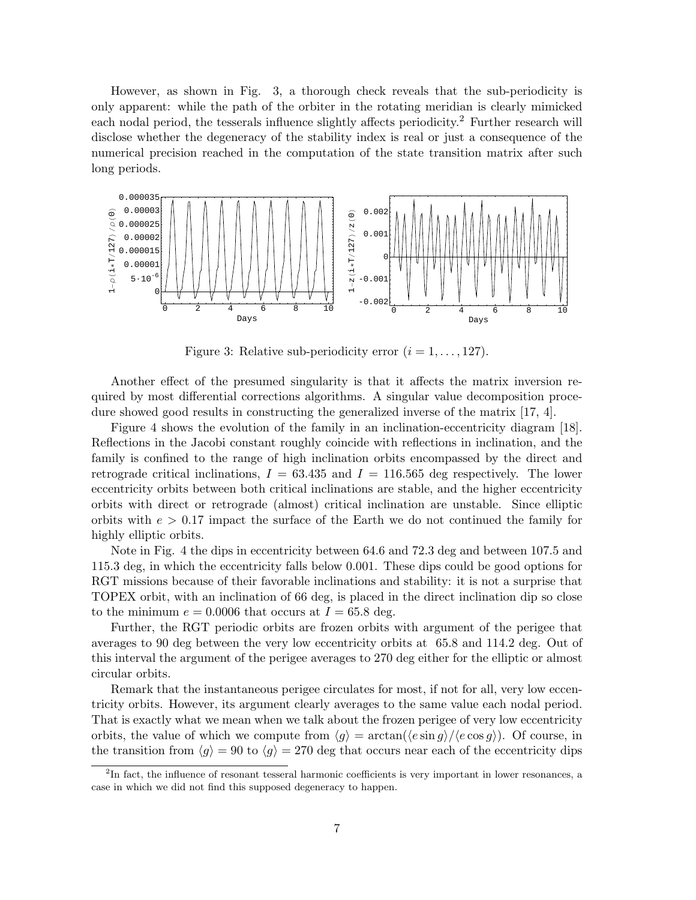However, as shown in Fig. [3,](#page-6-0) a thorough check reveals that the sub-periodicity is only apparent: while the path of the orbiter in the rotating meridian is clearly mimicked each nodal period, the tesserals influence slightly affects periodicity.<sup>[2](#page-6-1)</sup> Further research will disclose whether the degeneracy of the stability index is real or just a consequence of the numerical precision reached in the computation of the state transition matrix after such long periods.



<span id="page-6-0"></span>Figure 3: Relative sub-periodicity error  $(i = 1, \ldots, 127)$ .

Another effect of the presumed singularity is that it affects the matrix inversion required by most differential corrections algorithms. A singular value decomposition procedure showed good results in constructing the generalized inverse of the matrix [\[17,](#page-12-1) [4\]](#page-10-3).

Figure [4](#page-7-0) shows the evolution of the family in an inclination-eccentricity diagram [\[18\]](#page-12-2). Reflections in the Jacobi constant roughly coincide with reflections in inclination, and the family is confined to the range of high inclination orbits encompassed by the direct and retrograde critical inclinations,  $I = 63.435$  and  $I = 116.565$  deg respectively. The lower eccentricity orbits between both critical inclinations are stable, and the higher eccentricity orbits with direct or retrograde (almost) critical inclination are unstable. Since elliptic orbits with  $e > 0.17$  impact the surface of the Earth we do not continued the family for highly elliptic orbits.

Note in Fig. [4](#page-7-0) the dips in eccentricity between 64.6 and 72.3 deg and between 107.5 and 115.3 deg, in which the eccentricity falls below 0.001. These dips could be good options for RGT missions because of their favorable inclinations and stability: it is not a surprise that TOPEX orbit, with an inclination of 66 deg, is placed in the direct inclination dip so close to the minimum  $e = 0.0006$  that occurs at  $I = 65.8$  deg.

Further, the RGT periodic orbits are frozen orbits with argument of the perigee that averages to 90 deg between the very low eccentricity orbits at 65.8 and 114.2 deg. Out of this interval the argument of the perigee averages to 270 deg either for the elliptic or almost circular orbits.

Remark that the instantaneous perigee circulates for most, if not for all, very low eccentricity orbits. However, its argument clearly averages to the same value each nodal period. That is exactly what we mean when we talk about the frozen perigee of very low eccentricity orbits, the value of which we compute from  $\langle g \rangle = \arctan(\langle e \sin g \rangle / \langle e \cos g \rangle)$ . Of course, in the transition from  $\langle g \rangle = 90$  to  $\langle g \rangle = 270$  deg that occurs near each of the eccentricity dips

<span id="page-6-1"></span><sup>&</sup>lt;sup>2</sup>In fact, the influence of resonant tesseral harmonic coefficients is very important in lower resonances, a case in which we did not find this supposed degeneracy to happen.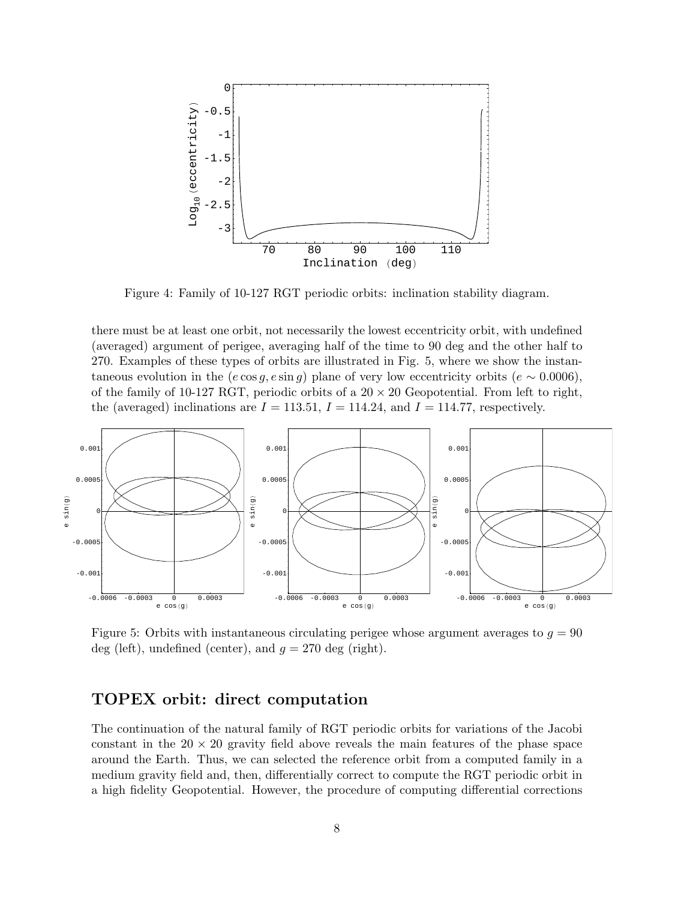

<span id="page-7-0"></span>Figure 4: Family of 10-127 RGT periodic orbits: inclination stability diagram.

there must be at least one orbit, not necessarily the lowest eccentricity orbit, with undefined (averaged) argument of perigee, averaging half of the time to 90 deg and the other half to 270. Examples of these types of orbits are illustrated in Fig. [5,](#page-7-1) where we show the instantaneous evolution in the  $(e \cos q, e \sin q)$  plane of very low eccentricity orbits  $(e \sim 0.0006)$ , of the family of 10-127 RGT, periodic orbits of a  $20 \times 20$  Geopotential. From left to right, the (averaged) inclinations are  $I = 113.51$ ,  $I = 114.24$ , and  $I = 114.77$ , respectively.



<span id="page-7-1"></span>Figure 5: Orbits with instantaneous circulating perigee whose argument averages to  $q = 90$ deg (left), undefined (center), and  $q = 270$  deg (right).

# TOPEX orbit: direct computation

The continuation of the natural family of RGT periodic orbits for variations of the Jacobi constant in the  $20 \times 20$  gravity field above reveals the main features of the phase space around the Earth. Thus, we can selected the reference orbit from a computed family in a medium gravity field and, then, differentially correct to compute the RGT periodic orbit in a high fidelity Geopotential. However, the procedure of computing differential corrections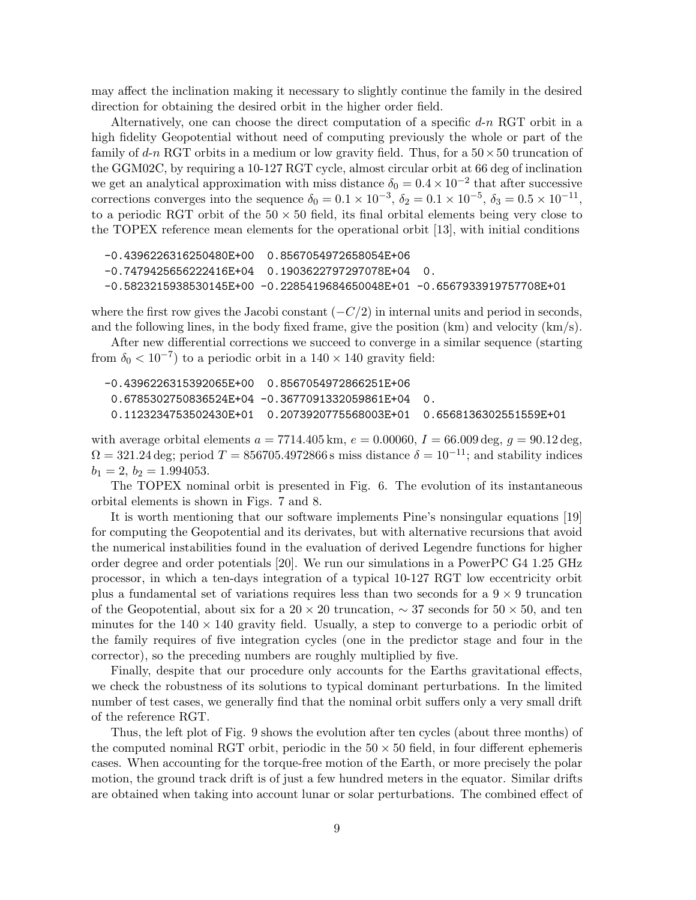may affect the inclination making it necessary to slightly continue the family in the desired direction for obtaining the desired orbit in the higher order field.

Alternatively, one can choose the direct computation of a specific  $d-n RGT$  orbit in a high fidelity Geopotential without need of computing previously the whole or part of the family of d-n RGT orbits in a medium or low gravity field. Thus, for a  $50 \times 50$  truncation of the GGM02C, by requiring a 10-127 RGT cycle, almost circular orbit at 66 deg of inclination we get an analytical approximation with miss distance  $\delta_0 = 0.4 \times 10^{-2}$  that after successive corrections converges into the sequence  $\delta_0 = 0.1 \times 10^{-3}$ ,  $\delta_2 = 0.1 \times 10^{-5}$ ,  $\delta_3 = 0.5 \times 10^{-11}$ , to a periodic RGT orbit of the  $50 \times 50$  field, its final orbital elements being very close to the TOPEX reference mean elements for the operational orbit [\[13\]](#page-11-6), with initial conditions

```
-0.4396226316250480E+00 0.8567054972658054E+06
-0.7479425656222416E+04 0.1903622797297078E+04 0.
-0.5823215938530145E+00 -0.2285419684650048E+01 -0.6567933919757708E+01
```
where the first row gives the Jacobi constant  $(-C/2)$  in internal units and period in seconds, and the following lines, in the body fixed frame, give the position (km) and velocity (km/s).

After new differential corrections we succeed to converge in a similar sequence (starting from  $\delta_0 < 10^{-7}$ ) to a periodic orbit in a 140 × 140 gravity field:

| $0.6785302750836524E+04 -0.3677091332059861E+04 -0.$                               |  |
|------------------------------------------------------------------------------------|--|
| $0.1123234753502430E+01 \quad 0.2073920775568003E+01 \quad 0.6568136302551559E+01$ |  |

with average orbital elements  $a = 7714.405 \text{ km}$ ,  $e = 0.00060$ ,  $I = 66.009 \text{ deg}$ ,  $q = 90.12 \text{ deg}$ .  $\Omega = 321.24 \text{ deg}$ ; period  $T = 856705.4972866 \text{ s}$  miss distance  $\delta = 10^{-11}$ ; and stability indices  $b_1 = 2, b_2 = 1.994053.$ 

The TOPEX nominal orbit is presented in Fig. [6.](#page-9-0) The evolution of its instantaneous orbital elements is shown in Figs. [7](#page-10-6) and [8.](#page-11-9)

It is worth mentioning that our software implements Pine's nonsingular equations [\[19\]](#page-12-3) for computing the Geopotential and its derivates, but with alternative recursions that avoid the numerical instabilities found in the evaluation of derived Legendre functions for higher order degree and order potentials [\[20\]](#page-12-4). We run our simulations in a PowerPC G4 1.25 GHz processor, in which a ten-days integration of a typical 10-127 RGT low eccentricity orbit plus a fundamental set of variations requires less than two seconds for a  $9 \times 9$  truncation of the Geopotential, about six for a  $20 \times 20$  truncation,  $\sim 37$  seconds for  $50 \times 50$ , and ten minutes for the  $140 \times 140$  gravity field. Usually, a step to converge to a periodic orbit of the family requires of five integration cycles (one in the predictor stage and four in the corrector), so the preceding numbers are roughly multiplied by five.

Finally, despite that our procedure only accounts for the Earths gravitational effects, we check the robustness of its solutions to typical dominant perturbations. In the limited number of test cases, we generally find that the nominal orbit suffers only a very small drift of the reference RGT.

Thus, the left plot of Fig. [9](#page-12-5) shows the evolution after ten cycles (about three months) of the computed nominal RGT orbit, periodic in the  $50 \times 50$  field, in four different ephemeris cases. When accounting for the torque-free motion of the Earth, or more precisely the polar motion, the ground track drift is of just a few hundred meters in the equator. Similar drifts are obtained when taking into account lunar or solar perturbations. The combined effect of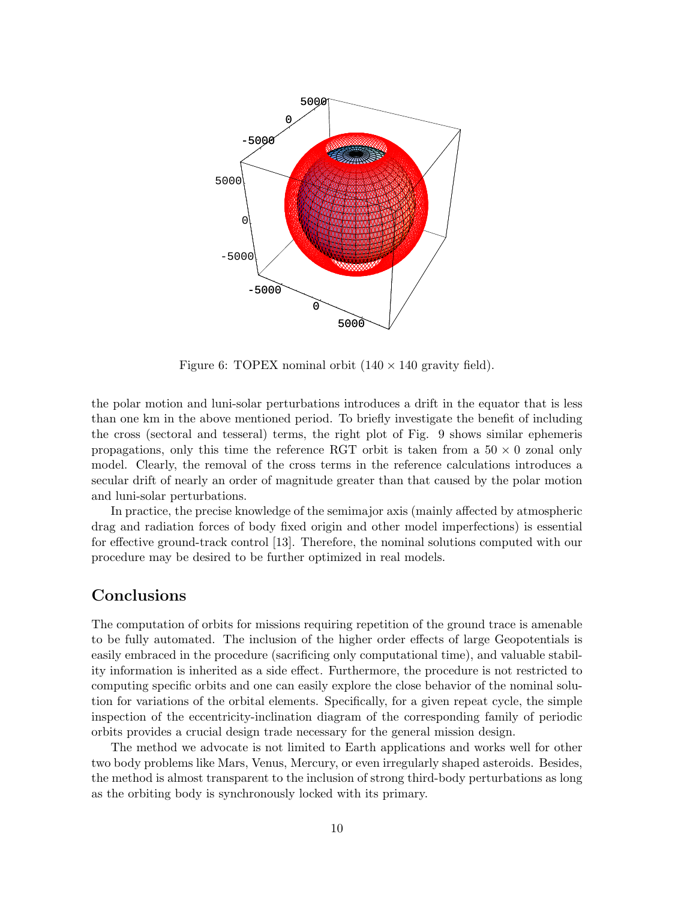

<span id="page-9-0"></span>Figure 6: TOPEX nominal orbit  $(140 \times 140 \text{ gravity field}).$ 

the polar motion and luni-solar perturbations introduces a drift in the equator that is less than one km in the above mentioned period. To briefly investigate the benefit of including the cross (sectoral and tesseral) terms, the right plot of Fig. [9](#page-12-5) shows similar ephemeris propagations, only this time the reference RGT orbit is taken from a  $50 \times 0$  zonal only model. Clearly, the removal of the cross terms in the reference calculations introduces a secular drift of nearly an order of magnitude greater than that caused by the polar motion and luni-solar perturbations.

In practice, the precise knowledge of the semimajor axis (mainly affected by atmospheric drag and radiation forces of body fixed origin and other model imperfections) is essential for effective ground-track control [\[13\]](#page-11-6). Therefore, the nominal solutions computed with our procedure may be desired to be further optimized in real models.

## Conclusions

The computation of orbits for missions requiring repetition of the ground trace is amenable to be fully automated. The inclusion of the higher order effects of large Geopotentials is easily embraced in the procedure (sacrificing only computational time), and valuable stability information is inherited as a side effect. Furthermore, the procedure is not restricted to computing specific orbits and one can easily explore the close behavior of the nominal solution for variations of the orbital elements. Specifically, for a given repeat cycle, the simple inspection of the eccentricity-inclination diagram of the corresponding family of periodic orbits provides a crucial design trade necessary for the general mission design.

The method we advocate is not limited to Earth applications and works well for other two body problems like Mars, Venus, Mercury, or even irregularly shaped asteroids. Besides, the method is almost transparent to the inclusion of strong third-body perturbations as long as the orbiting body is synchronously locked with its primary.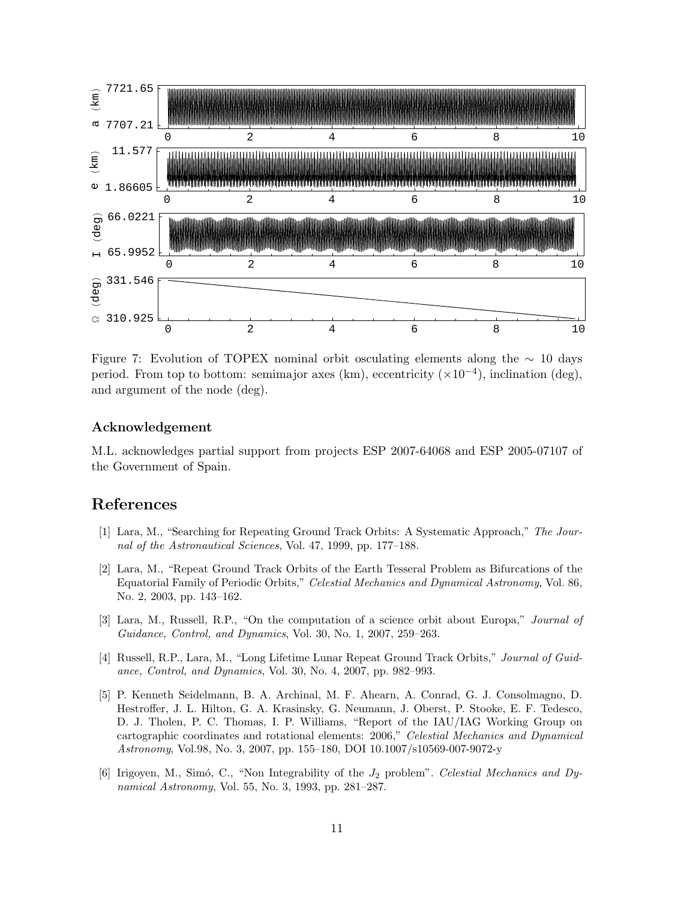

<span id="page-10-6"></span>Figure 7: Evolution of TOPEX nominal orbit osculating elements along the  $~\sim~10$  days period. From top to bottom: semimajor axes (km), eccentricity  $(\times 10^{-4})$ , inclination (deg), and argument of the node (deg).

### Acknowledgement

M.L. acknowledges partial support from projects ESP 2007-64068 and ESP 2005-07107 of the Government of Spain.

### References

- <span id="page-10-0"></span>[1] Lara, M., "Searching for Repeating Ground Track Orbits: A Systematic Approach," The Journal of the Astronautical Sciences, Vol. 47, 1999, pp. 177–188.
- <span id="page-10-1"></span>[2] Lara, M., "Repeat Ground Track Orbits of the Earth Tesseral Problem as Bifurcations of the Equatorial Family of Periodic Orbits," Celestial Mechanics and Dynamical Astronomy, Vol. 86, No. 2, 2003, pp. 143–162.
- <span id="page-10-2"></span>[3] Lara, M., Russell, R.P., "On the computation of a science orbit about Europa," Journal of Guidance, Control, and Dynamics, Vol. 30, No. 1, 2007, 259–263.
- <span id="page-10-3"></span>[4] Russell, R.P., Lara, M., "Long Lifetime Lunar Repeat Ground Track Orbits," Journal of Guidance, Control, and Dynamics, Vol. 30, No. 4, 2007, pp. 982–993.
- <span id="page-10-4"></span>[5] P. Kenneth Seidelmann, B. A. Archinal, M. F. Ahearn, A. Conrad, G. J. Consolmagno, D. Hestroffer, J. L. Hilton, G. A. Krasinsky, G. Neumann, J. Oberst, P. Stooke, E. F. Tedesco, D. J. Tholen, P. C. Thomas, I. P. Williams, "Report of the IAU/IAG Working Group on cartographic coordinates and rotational elements: 2006," Celestial Mechanics and Dynamical Astronomy, Vol.98, No. 3, 2007, pp. 155–180, DOI 10.1007/s10569-007-9072-y
- <span id="page-10-5"></span>[6] Irigoyen, M., Simó, C., "Non Integrability of the  $J_2$  problem". Celestial Mechanics and Dynamical Astronomy, Vol. 55, No. 3, 1993, pp. 281–287.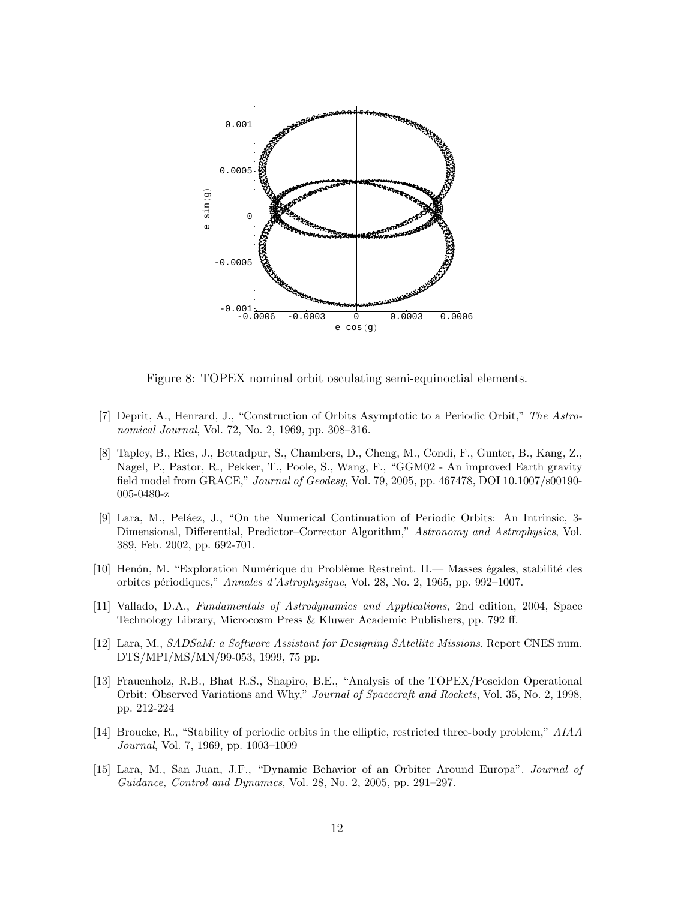

<span id="page-11-9"></span>Figure 8: TOPEX nominal orbit osculating semi-equinoctial elements.

- <span id="page-11-0"></span>[7] Deprit, A., Henrard, J., "Construction of Orbits Asymptotic to a Periodic Orbit," The Astronomical Journal, Vol. 72, No. 2, 1969, pp. 308–316.
- <span id="page-11-1"></span>[8] Tapley, B., Ries, J., Bettadpur, S., Chambers, D., Cheng, M., Condi, F., Gunter, B., Kang, Z., Nagel, P., Pastor, R., Pekker, T., Poole, S., Wang, F., "GGM02 - An improved Earth gravity field model from GRACE," Journal of Geodesy, Vol. 79, 2005, pp. 467478, DOI 10.1007/s00190- 005-0480-z
- <span id="page-11-2"></span>[9] Lara, M., Peláez, J., "On the Numerical Continuation of Periodic Orbits: An Intrinsic, 3-Dimensional, Differential, Predictor–Corrector Algorithm," Astronomy and Astrophysics, Vol. 389, Feb. 2002, pp. 692-701.
- <span id="page-11-3"></span>[10] Henón, M. "Exploration Numérique du Problème Restreint. II.— Masses égales, stabilité des orbites p´eriodiques," Annales d'Astrophysique, Vol. 28, No. 2, 1965, pp. 992–1007.
- <span id="page-11-4"></span>[11] Vallado, D.A., Fundamentals of Astrodynamics and Applications, 2nd edition, 2004, Space Technology Library, Microcosm Press & Kluwer Academic Publishers, pp. 792 ff.
- <span id="page-11-5"></span>[12] Lara, M., SADSaM: a Software Assistant for Designing SAtellite Missions. Report CNES num. DTS/MPI/MS/MN/99-053, 1999, 75 pp.
- <span id="page-11-6"></span>[13] Frauenholz, R.B., Bhat R.S., Shapiro, B.E., "Analysis of the TOPEX/Poseidon Operational Orbit: Observed Variations and Why," Journal of Spacecraft and Rockets, Vol. 35, No. 2, 1998, pp. 212-224
- <span id="page-11-7"></span>[14] Broucke, R., "Stability of periodic orbits in the elliptic, restricted three-body problem," AIAA Journal, Vol. 7, 1969, pp. 1003–1009
- <span id="page-11-8"></span>[15] Lara, M., San Juan, J.F., "Dynamic Behavior of an Orbiter Around Europa". Journal of Guidance, Control and Dynamics, Vol. 28, No. 2, 2005, pp. 291–297.